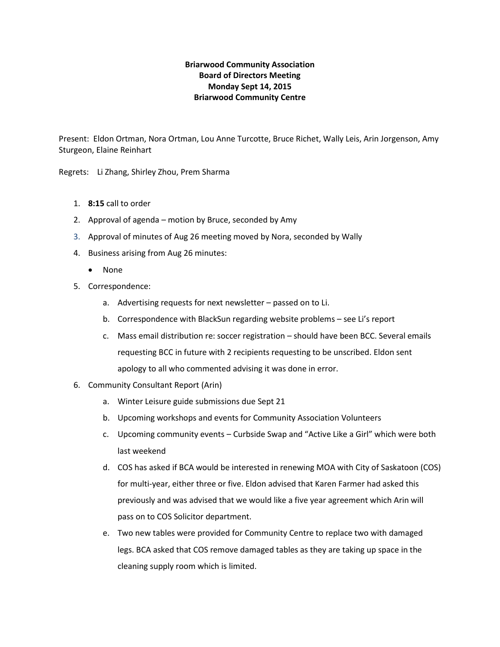# **Briarwood Community Association Board of Directors Meeting Monday Sept 14, 2015 Briarwood Community Centre**

Present: Eldon Ortman, Nora Ortman, Lou Anne Turcotte, Bruce Richet, Wally Leis, Arin Jorgenson, Amy Sturgeon, Elaine Reinhart

Regrets: Li Zhang, Shirley Zhou, Prem Sharma

- 1. **8:15** call to order
- 2. Approval of agenda motion by Bruce, seconded by Amy
- 3. Approval of minutes of Aug 26 meeting moved by Nora, seconded by Wally
- 4. Business arising from Aug 26 minutes:
	- None
- 5. Correspondence:
	- a. Advertising requests for next newsletter passed on to Li.
	- b. Correspondence with BlackSun regarding website problems see Li's report
	- c. Mass email distribution re: soccer registration should have been BCC. Several emails requesting BCC in future with 2 recipients requesting to be unscribed. Eldon sent apology to all who commented advising it was done in error.
- 6. Community Consultant Report (Arin)
	- a. Winter Leisure guide submissions due Sept 21
	- b. Upcoming workshops and events for Community Association Volunteers
	- c. Upcoming community events Curbside Swap and "Active Like a Girl" which were both last weekend
	- d. COS has asked if BCA would be interested in renewing MOA with City of Saskatoon (COS) for multi-year, either three or five. Eldon advised that Karen Farmer had asked this previously and was advised that we would like a five year agreement which Arin will pass on to COS Solicitor department.
	- e. Two new tables were provided for Community Centre to replace two with damaged legs. BCA asked that COS remove damaged tables as they are taking up space in the cleaning supply room which is limited.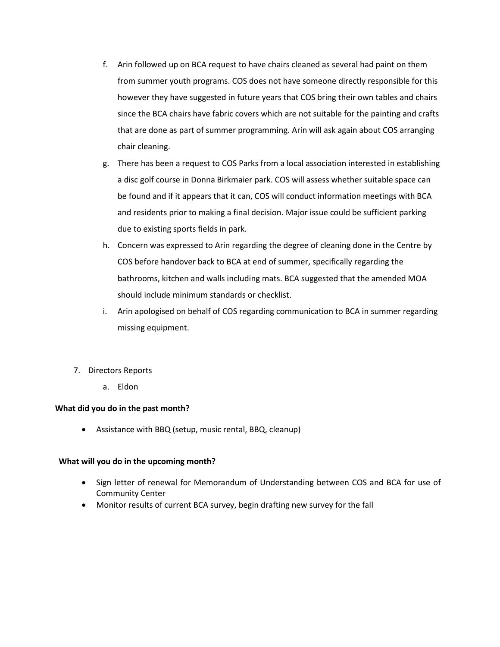- f. Arin followed up on BCA request to have chairs cleaned as several had paint on them from summer youth programs. COS does not have someone directly responsible for this however they have suggested in future years that COS bring their own tables and chairs since the BCA chairs have fabric covers which are not suitable for the painting and crafts that are done as part of summer programming. Arin will ask again about COS arranging chair cleaning.
- g. There has been a request to COS Parks from a local association interested in establishing a disc golf course in Donna Birkmaier park. COS will assess whether suitable space can be found and if it appears that it can, COS will conduct information meetings with BCA and residents prior to making a final decision. Major issue could be sufficient parking due to existing sports fields in park.
- h. Concern was expressed to Arin regarding the degree of cleaning done in the Centre by COS before handover back to BCA at end of summer, specifically regarding the bathrooms, kitchen and walls including mats. BCA suggested that the amended MOA should include minimum standards or checklist.
- i. Arin apologised on behalf of COS regarding communication to BCA in summer regarding missing equipment.
- 7. Directors Reports
	- a. Eldon

### **What did you do in the past month?**

• Assistance with BBQ (setup, music rental, BBQ, cleanup)

### **What will you do in the upcoming month?**

- Sign letter of renewal for Memorandum of Understanding between COS and BCA for use of Community Center
- Monitor results of current BCA survey, begin drafting new survey for the fall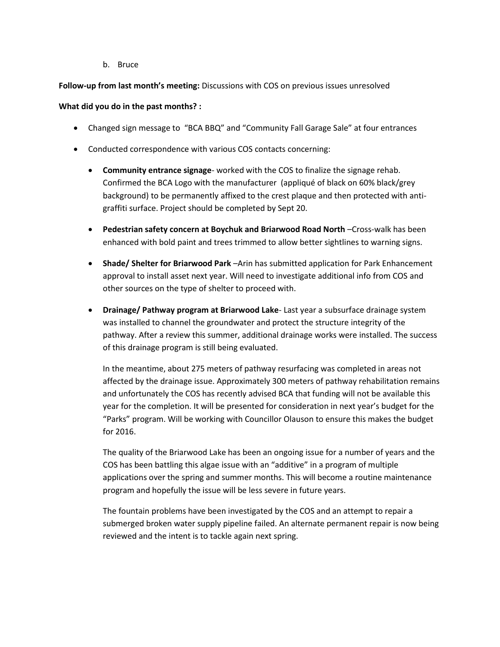b. Bruce

## **Follow-up from last month's meeting:** Discussions with COS on previous issues unresolved

## **What did you do in the past months? :**

- Changed sign message to "BCA BBQ" and "Community Fall Garage Sale" at four entrances
- Conducted correspondence with various COS contacts concerning:
	- **Community entrance signage** worked with the COS to finalize the signage rehab. Confirmed the BCA Logo with the manufacturer (appliqué of black on 60% black/grey background) to be permanently affixed to the crest plaque and then protected with antigraffiti surface. Project should be completed by Sept 20.
	- **Pedestrian safety concern at Boychuk and Briarwood Road North** –Cross-walk has been enhanced with bold paint and trees trimmed to allow better sightlines to warning signs.
	- **Shade/ Shelter for Briarwood Park** –Arin has submitted application for Park Enhancement approval to install asset next year. Will need to investigate additional info from COS and other sources on the type of shelter to proceed with.
	- **Drainage/ Pathway program at Briarwood Lake** Last year a subsurface drainage system was installed to channel the groundwater and protect the structure integrity of the pathway. After a review this summer, additional drainage works were installed. The success of this drainage program is still being evaluated.

In the meantime, about 275 meters of pathway resurfacing was completed in areas not affected by the drainage issue. Approximately 300 meters of pathway rehabilitation remains and unfortunately the COS has recently advised BCA that funding will not be available this year for the completion. It will be presented for consideration in next year's budget for the "Parks" program. Will be working with Councillor Olauson to ensure this makes the budget for 2016.

The quality of the Briarwood Lake has been an ongoing issue for a number of years and the COS has been battling this algae issue with an "additive" in a program of multiple applications over the spring and summer months. This will become a routine maintenance program and hopefully the issue will be less severe in future years.

The fountain problems have been investigated by the COS and an attempt to repair a submerged broken water supply pipeline failed. An alternate permanent repair is now being reviewed and the intent is to tackle again next spring.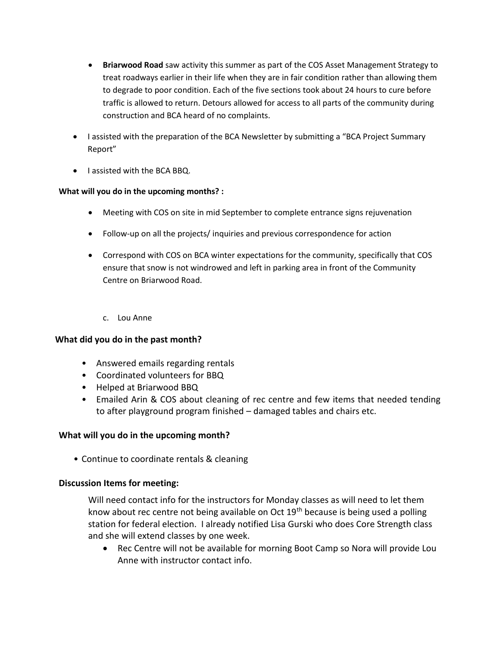- **Briarwood Road** saw activity this summer as part of the COS Asset Management Strategy to treat roadways earlier in their life when they are in fair condition rather than allowing them to degrade to poor condition. Each of the five sections took about 24 hours to cure before traffic is allowed to return. Detours allowed for access to all parts of the community during construction and BCA heard of no complaints.
- I assisted with the preparation of the BCA Newsletter by submitting a "BCA Project Summary Report"
- I assisted with the BCA BBQ.

# **What will you do in the upcoming months? :**

- Meeting with COS on site in mid September to complete entrance signs rejuvenation
- Follow-up on all the projects/ inquiries and previous correspondence for action
- Correspond with COS on BCA winter expectations for the community, specifically that COS ensure that snow is not windrowed and left in parking area in front of the Community Centre on Briarwood Road.
	- c. Lou Anne

# **What did you do in the past month?**

- Answered emails regarding rentals
- Coordinated volunteers for BBQ
- Helped at Briarwood BBQ
- Emailed Arin & COS about cleaning of rec centre and few items that needed tending to after playground program finished – damaged tables and chairs etc.

# **What will you do in the upcoming month?**

• Continue to coordinate rentals & cleaning

# **Discussion Items for meeting:**

Will need contact info for the instructors for Monday classes as will need to let them know about rec centre not being available on Oct  $19<sup>th</sup>$  because is being used a polling station for federal election. I already notified Lisa Gurski who does Core Strength class and she will extend classes by one week.

• Rec Centre will not be available for morning Boot Camp so Nora will provide Lou Anne with instructor contact info.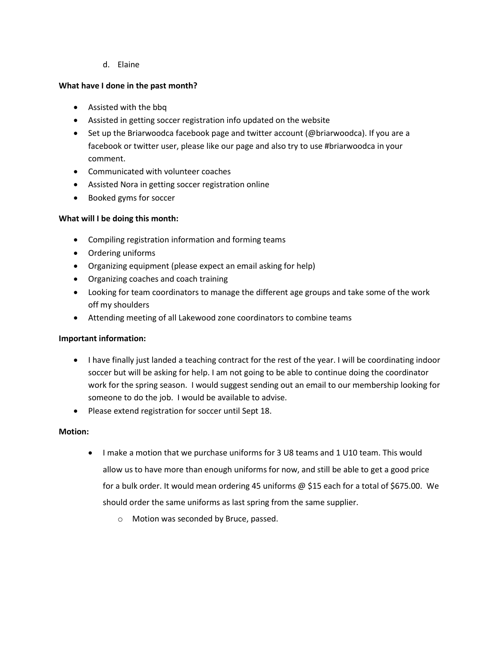## d. Elaine

## **What have I done in the past month?**

- Assisted with the bbq
- Assisted in getting soccer registration info updated on the website
- Set up the Briarwoodca facebook page and twitter account (@briarwoodca). If you are a facebook or twitter user, please like our page and also try to use #briarwoodca in your comment.
- Communicated with volunteer coaches
- Assisted Nora in getting soccer registration online
- Booked gyms for soccer

## **What will I be doing this month:**

- Compiling registration information and forming teams
- Ordering uniforms
- Organizing equipment (please expect an email asking for help)
- Organizing coaches and coach training
- Looking for team coordinators to manage the different age groups and take some of the work off my shoulders
- Attending meeting of all Lakewood zone coordinators to combine teams

### **Important information:**

- I have finally just landed a teaching contract for the rest of the year. I will be coordinating indoor soccer but will be asking for help. I am not going to be able to continue doing the coordinator work for the spring season. I would suggest sending out an email to our membership looking for someone to do the job. I would be available to advise.
- Please extend registration for soccer until Sept 18.

### **Motion:**

- I make a motion that we purchase uniforms for 3 U8 teams and 1 U10 team. This would allow us to have more than enough uniforms for now, and still be able to get a good price for a bulk order. It would mean ordering 45 uniforms @ \$15 each for a total of \$675.00. We should order the same uniforms as last spring from the same supplier.
	- o Motion was seconded by Bruce, passed.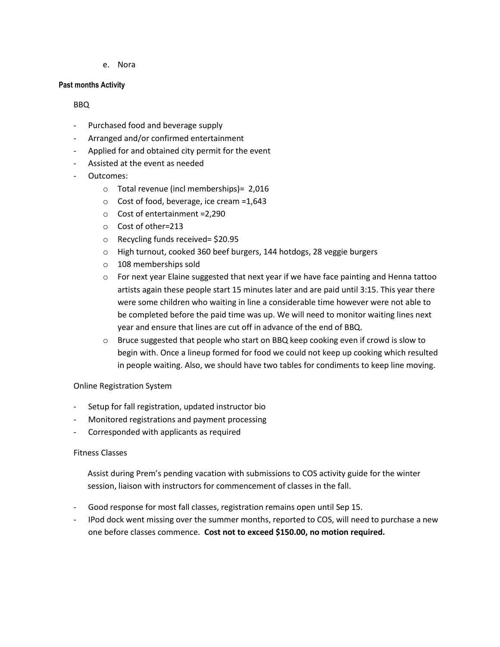e. Nora

#### **Past months Activity**

### BBQ

- Purchased food and beverage supply
- Arranged and/or confirmed entertainment
- Applied for and obtained city permit for the event
- Assisted at the event as needed
- Outcomes:
	- o Total revenue (incl memberships)= 2,016
	- o Cost of food, beverage, ice cream =1,643
	- o Cost of entertainment =2,290
	- o Cost of other=213
	- o Recycling funds received= \$20.95
	- o High turnout, cooked 360 beef burgers, 144 hotdogs, 28 veggie burgers
	- o 108 memberships sold
	- $\circ$  For next year Elaine suggested that next year if we have face painting and Henna tattoo artists again these people start 15 minutes later and are paid until 3:15. This year there were some children who waiting in line a considerable time however were not able to be completed before the paid time was up. We will need to monitor waiting lines next year and ensure that lines are cut off in advance of the end of BBQ.
	- $\circ$  Bruce suggested that people who start on BBQ keep cooking even if crowd is slow to begin with. Once a lineup formed for food we could not keep up cooking which resulted in people waiting. Also, we should have two tables for condiments to keep line moving.

### Online Registration System

- Setup for fall registration, updated instructor bio
- Monitored registrations and payment processing
- Corresponded with applicants as required

### Fitness Classes

Assist during Prem's pending vacation with submissions to COS activity guide for the winter session, liaison with instructors for commencement of classes in the fall.

- Good response for most fall classes, registration remains open until Sep 15.
- IPod dock went missing over the summer months, reported to COS, will need to purchase a new one before classes commence. **Cost not to exceed \$150.00, no motion required.**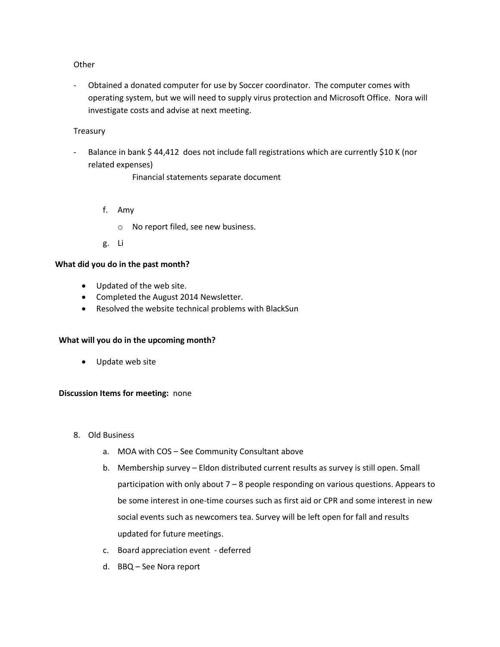#### **Other**

- Obtained a donated computer for use by Soccer coordinator. The computer comes with operating system, but we will need to supply virus protection and Microsoft Office. Nora will investigate costs and advise at next meeting.

### **Treasury**

Balance in bank \$ 44,412 does not include fall registrations which are currently \$10 K (nor related expenses)

Financial statements separate document

- f. Amy
	- o No report filed, see new business.
- g. Li

#### **What did you do in the past month?**

- Updated of the web site.
- Completed the August 2014 Newsletter.
- Resolved the website technical problems with BlackSun

### **What will you do in the upcoming month?**

• Update web site

#### **Discussion Items for meeting:** none

- 8. Old Business
	- a. MOA with COS See Community Consultant above
	- b. Membership survey Eldon distributed current results as survey is still open. Small participation with only about 7 – 8 people responding on various questions. Appears to be some interest in one-time courses such as first aid or CPR and some interest in new social events such as newcomers tea. Survey will be left open for fall and results updated for future meetings.
	- c. Board appreciation event deferred
	- d. BBQ See Nora report